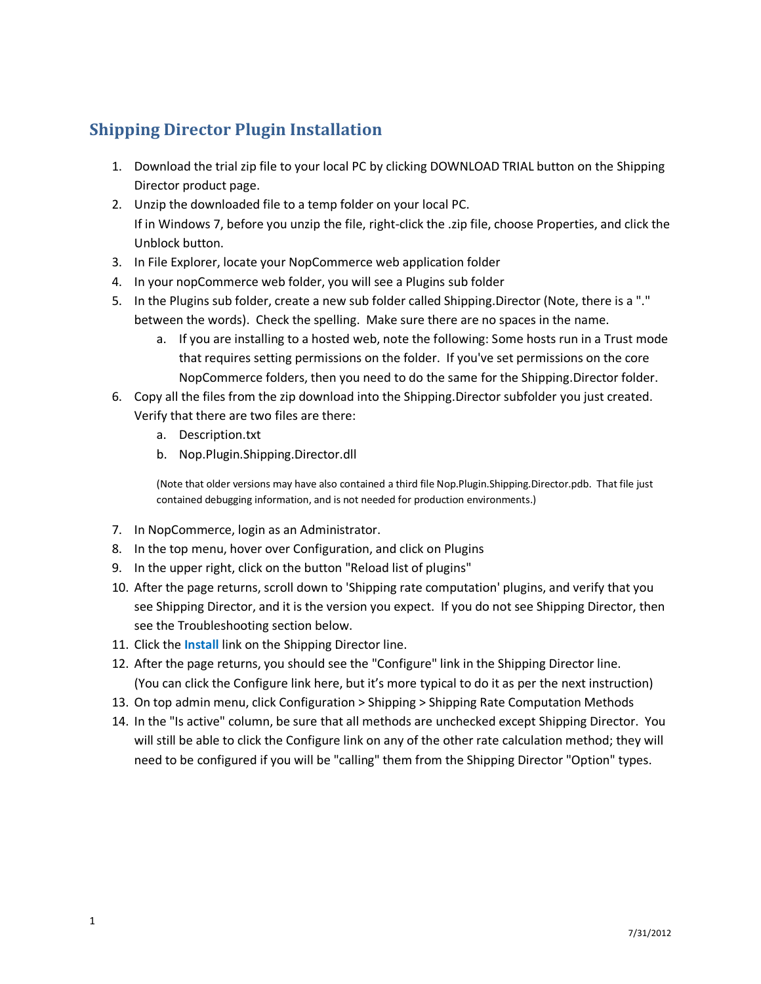## **Shipping Director Plugin Installation**

- 1. Download the trial zip file to your local PC by clicking DOWNLOAD TRIAL button on the Shipping Director product page.
- 2. Unzip the downloaded file to a temp folder on your local PC. If in Windows 7, before you unzip the file, right-click the .zip file, choose Properties, and click the Unblock button.
- 3. In File Explorer, locate your NopCommerce web application folder
- 4. In your nopCommerce web folder, you will see a Plugins sub folder
- 5. In the Plugins sub folder, create a new sub folder called Shipping.Director (Note, there is a "." between the words). Check the spelling. Make sure there are no spaces in the name.
	- a. If you are installing to a hosted web, note the following: Some hosts run in a Trust mode that requires setting permissions on the folder. If you've set permissions on the core NopCommerce folders, then you need to do the same for the Shipping.Director folder.
- 6. Copy all the files from the zip download into the Shipping.Director subfolder you just created. Verify that there are two files are there:
	- a. Description.txt
	- b. Nop.Plugin.Shipping.Director.dll

(Note that older versions may have also contained a third file Nop.Plugin.Shipping.Director.pdb. That file just contained debugging information, and is not needed for production environments.)

- 7. In NopCommerce, login as an Administrator.
- 8. In the top menu, hover over Configuration, and click on Plugins
- 9. In the upper right, click on the button "Reload list of plugins"
- 10. After the page returns, scroll down to 'Shipping rate computation' plugins, and verify that you see Shipping Director, and it is the version you expect. If you do not see Shipping Director, then see the Troubleshooting section below.
- 11. Click the **Install** link on the Shipping Director line.
- 12. After the page returns, you should see the "Configure" link in the Shipping Director line. (You can click the Configure link here, but it's more typical to do it as per the next instruction)
- 13. On top admin menu, click Configuration > Shipping > Shipping Rate Computation Methods
- 14. In the "Is active" column, be sure that all methods are unchecked except Shipping Director. You will still be able to click the Configure link on any of the other rate calculation method; they will need to be configured if you will be "calling" them from the Shipping Director "Option" types.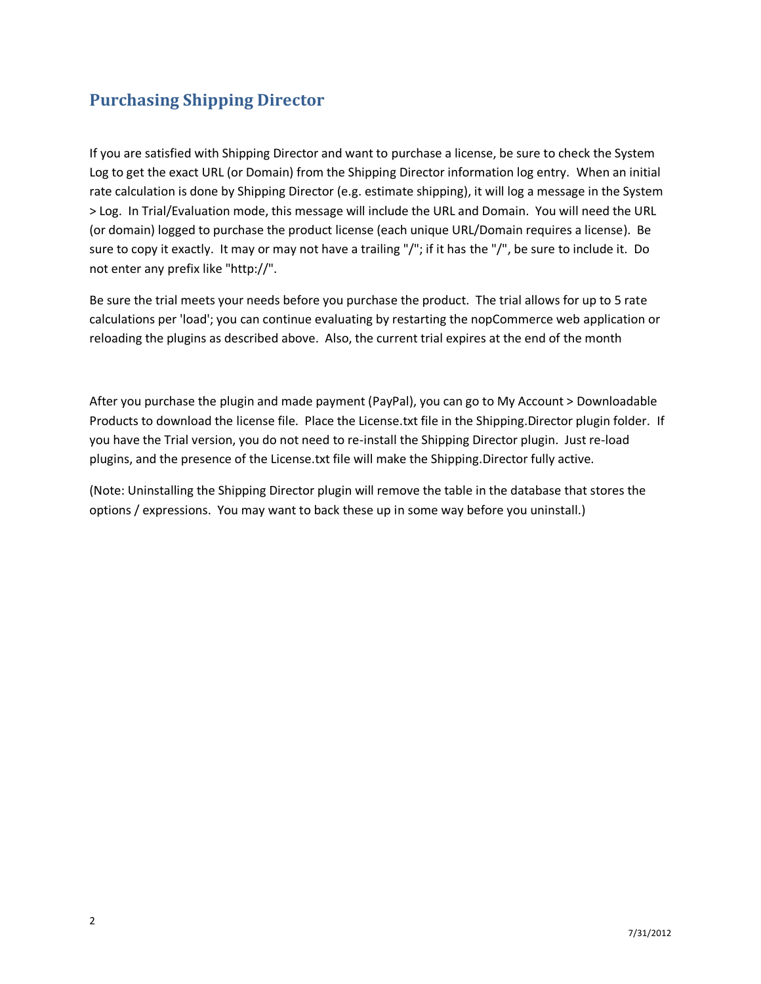## **Purchasing Shipping Director**

If you are satisfied with Shipping Director and want to purchase a license, be sure to check the System Log to get the exact URL (or Domain) from the Shipping Director information log entry. When an initial rate calculation is done by Shipping Director (e.g. estimate shipping), it will log a message in the System > Log. In Trial/Evaluation mode, this message will include the URL and Domain. You will need the URL (or domain) logged to purchase the product license (each unique URL/Domain requires a license). Be sure to copy it exactly. It may or may not have a trailing "/"; if it has the "/", be sure to include it. Do not enter any prefix like "http://".

Be sure the trial meets your needs before you purchase the product. The trial allows for up to 5 rate calculations per 'load'; you can continue evaluating by restarting the nopCommerce web application or reloading the plugins as described above. Also, the current trial expires at the end of the month

After you purchase the plugin and made payment (PayPal), you can go to My Account > Downloadable Products to download the license file. Place the License.txt file in the Shipping.Director plugin folder. If you have the Trial version, you do not need to re-install the Shipping Director plugin. Just re-load plugins, and the presence of the License.txt file will make the Shipping.Director fully active.

(Note: Uninstalling the Shipping Director plugin will remove the table in the database that stores the options / expressions. You may want to back these up in some way before you uninstall.)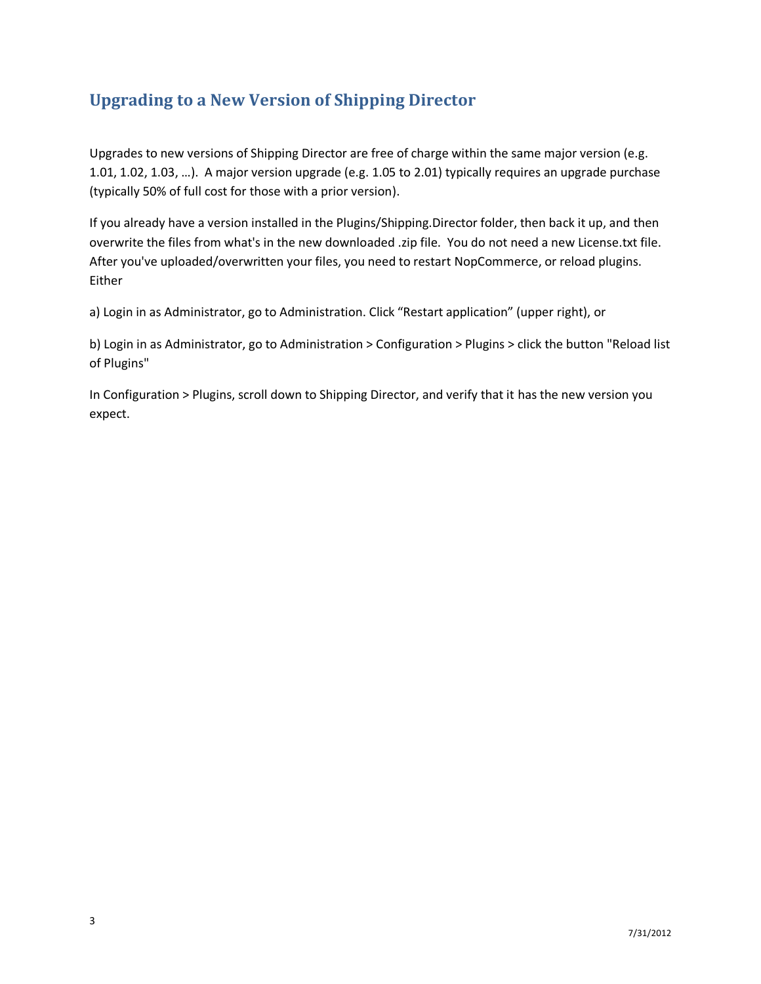## **Upgrading to a New Version of Shipping Director**

Upgrades to new versions of Shipping Director are free of charge within the same major version (e.g. 1.01, 1.02, 1.03, …). A major version upgrade (e.g. 1.05 to 2.01) typically requires an upgrade purchase (typically 50% of full cost for those with a prior version).

If you already have a version installed in the Plugins/Shipping.Director folder, then back it up, and then overwrite the files from what's in the new downloaded .zip file. You do not need a new License.txt file. After you've uploaded/overwritten your files, you need to restart NopCommerce, or reload plugins. Either

a) Login in as Administrator, go to Administration. Click "Restart application" (upper right), or

b) Login in as Administrator, go to Administration > Configuration > Plugins > click the button "Reload list of Plugins"

In Configuration > Plugins, scroll down to Shipping Director, and verify that it has the new version you expect.